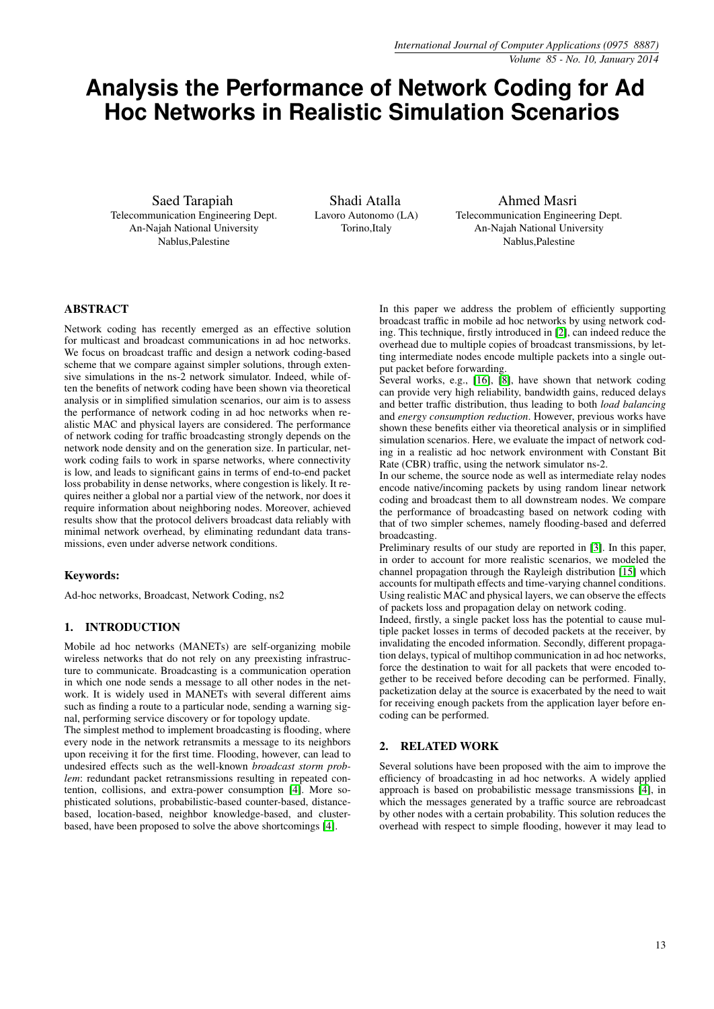# **Analysis the Performance of Network Coding for Ad Hoc Networks in Realistic Simulation Scenarios**

Saed Tarapiah Telecommunication Engineering Dept. An-Najah National University Nablus,Palestine

Shadi Atalla Lavoro Autonomo (LA) Torino,Italy

Ahmed Masri Telecommunication Engineering Dept. An-Najah National University Nablus,Palestine

# ABSTRACT

Network coding has recently emerged as an effective solution for multicast and broadcast communications in ad hoc networks. We focus on broadcast traffic and design a network coding-based scheme that we compare against simpler solutions, through extensive simulations in the ns-2 network simulator. Indeed, while often the benefits of network coding have been shown via theoretical analysis or in simplified simulation scenarios, our aim is to assess the performance of network coding in ad hoc networks when realistic MAC and physical layers are considered. The performance of network coding for traffic broadcasting strongly depends on the network node density and on the generation size. In particular, network coding fails to work in sparse networks, where connectivity is low, and leads to significant gains in terms of end-to-end packet loss probability in dense networks, where congestion is likely. It requires neither a global nor a partial view of the network, nor does it require information about neighboring nodes. Moreover, achieved results show that the protocol delivers broadcast data reliably with minimal network overhead, by eliminating redundant data transmissions, even under adverse network conditions.

# Keywords:

Ad-hoc networks, Broadcast, Network Coding, ns2

# 1. INTRODUCTION

Mobile ad hoc networks (MANETs) are self-organizing mobile wireless networks that do not rely on any preexisting infrastructure to communicate. Broadcasting is a communication operation in which one node sends a message to all other nodes in the network. It is widely used in MANETs with several different aims such as finding a route to a particular node, sending a warning signal, performing service discovery or for topology update.

The simplest method to implement broadcasting is flooding, where every node in the network retransmits a message to its neighbors upon receiving it for the first time. Flooding, however, can lead to undesired effects such as the well-known *broadcast storm problem*: redundant packet retransmissions resulting in repeated contention, collisions, and extra-power consumption [\[4\]](#page-7-0). More sophisticated solutions, probabilistic-based counter-based, distancebased, location-based, neighbor knowledge-based, and clusterbased, have been proposed to solve the above shortcomings [\[4\]](#page-7-0).

In this paper we address the problem of efficiently supporting broadcast traffic in mobile ad hoc networks by using network coding. This technique, firstly introduced in [\[2\]](#page-7-1), can indeed reduce the overhead due to multiple copies of broadcast transmissions, by letting intermediate nodes encode multiple packets into a single output packet before forwarding.

Several works, e.g., [\[16\]](#page-7-2), [\[8\]](#page-7-3), have shown that network coding can provide very high reliability, bandwidth gains, reduced delays and better traffic distribution, thus leading to both *load balancing* and *energy consumption reduction*. However, previous works have shown these benefits either via theoretical analysis or in simplified simulation scenarios. Here, we evaluate the impact of network coding in a realistic ad hoc network environment with Constant Bit Rate (CBR) traffic, using the network simulator ns-2.

In our scheme, the source node as well as intermediate relay nodes encode native/incoming packets by using random linear network coding and broadcast them to all downstream nodes. We compare the performance of broadcasting based on network coding with that of two simpler schemes, namely flooding-based and deferred broadcasting.

Preliminary results of our study are reported in [\[3\]](#page-7-4). In this paper, in order to account for more realistic scenarios, we modeled the channel propagation through the Rayleigh distribution [\[15\]](#page-7-5) which accounts for multipath effects and time-varying channel conditions. Using realistic MAC and physical layers, we can observe the effects of packets loss and propagation delay on network coding.

Indeed, firstly, a single packet loss has the potential to cause multiple packet losses in terms of decoded packets at the receiver, by invalidating the encoded information. Secondly, different propagation delays, typical of multihop communication in ad hoc networks, force the destination to wait for all packets that were encoded together to be received before decoding can be performed. Finally, packetization delay at the source is exacerbated by the need to wait for receiving enough packets from the application layer before encoding can be performed.

## 2. RELATED WORK

Several solutions have been proposed with the aim to improve the efficiency of broadcasting in ad hoc networks. A widely applied approach is based on probabilistic message transmissions [\[4\]](#page-7-0), in which the messages generated by a traffic source are rebroadcast by other nodes with a certain probability. This solution reduces the overhead with respect to simple flooding, however it may lead to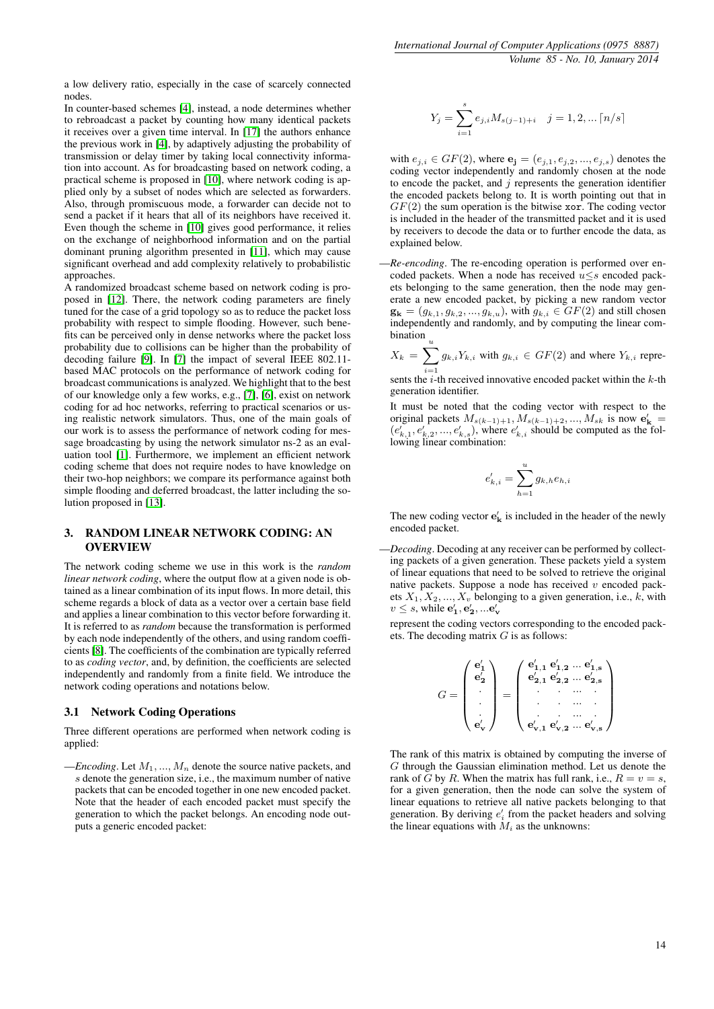a low delivery ratio, especially in the case of scarcely connected nodes.

In counter-based schemes [\[4\]](#page-7-0), instead, a node determines whether to rebroadcast a packet by counting how many identical packets it receives over a given time interval. In [\[17\]](#page-7-6) the authors enhance the previous work in [\[4\]](#page-7-0), by adaptively adjusting the probability of transmission or delay timer by taking local connectivity information into account. As for broadcasting based on network coding, a practical scheme is proposed in [\[10\]](#page-7-7), where network coding is applied only by a subset of nodes which are selected as forwarders. Also, through promiscuous mode, a forwarder can decide not to send a packet if it hears that all of its neighbors have received it. Even though the scheme in [\[10\]](#page-7-7) gives good performance, it relies on the exchange of neighborhood information and on the partial dominant pruning algorithm presented in [\[11\]](#page-7-8), which may cause significant overhead and add complexity relatively to probabilistic approaches.

A randomized broadcast scheme based on network coding is proposed in [\[12\]](#page-7-9). There, the network coding parameters are finely tuned for the case of a grid topology so as to reduce the packet loss probability with respect to simple flooding. However, such benefits can be perceived only in dense networks where the packet loss probability due to collisions can be higher than the probability of decoding failure [\[9\]](#page-7-10). In [\[7\]](#page-7-11) the impact of several IEEE 802.11 based MAC protocols on the performance of network coding for broadcast communications is analyzed. We highlight that to the best of our knowledge only a few works, e.g., [\[7\]](#page-7-11), [\[6\]](#page-7-12), exist on network coding for ad hoc networks, referring to practical scenarios or using realistic network simulators. Thus, one of the main goals of our work is to assess the performance of network coding for message broadcasting by using the network simulator ns-2 as an evaluation tool [\[1\]](#page-7-13). Furthermore, we implement an efficient network coding scheme that does not require nodes to have knowledge on their two-hop neighbors; we compare its performance against both simple flooding and deferred broadcast, the latter including the solution proposed in [\[13\]](#page-7-14).

### <span id="page-1-0"></span>3. RANDOM LINEAR NETWORK CODING: AN OVERVIEW

The network coding scheme we use in this work is the *random linear network coding*, where the output flow at a given node is obtained as a linear combination of its input flows. In more detail, this scheme regards a block of data as a vector over a certain base field and applies a linear combination to this vector before forwarding it. It is referred to as *random* because the transformation is performed by each node independently of the others, and using random coefficients [\[8\]](#page-7-3). The coefficients of the combination are typically referred to as *coding vector*, and, by definition, the coefficients are selected independently and randomly from a finite field. We introduce the network coding operations and notations below.

## 3.1 Network Coding Operations

Three different operations are performed when network coding is applied:

 $-Encoding.$  Let  $M_1, ..., M_n$  denote the source native packets, and s denote the generation size, i.e., the maximum number of native packets that can be encoded together in one new encoded packet. Note that the header of each encoded packet must specify the generation to which the packet belongs. An encoding node outputs a generic encoded packet:

$$
Y_j=\sum_{i=1}^s e_{j,i}M_{s(j-1)+i}\quad j=1,2,\ldots \lceil n/s\rceil
$$

with  $e_{j,i} \in GF(2)$ , where  $\mathbf{e_j} = (e_{j,1}, e_{j,2}, ..., e_{j,s})$  denotes the coding vector independently and randomly chosen at the node to encode the packet, and  $j$  represents the generation identifier the encoded packets belong to. It is worth pointing out that in  $GF(2)$  the sum operation is the bitwise xor. The coding vector is included in the header of the transmitted packet and it is used by receivers to decode the data or to further encode the data, as explained below.

—*Re-encoding*. The re-encoding operation is performed over encoded packets. When a node has received  $u \leq s$  encoded packets belonging to the same generation, then the node may generate a new encoded packet, by picking a new random vector  $\mathbf{g_k} = (g_{k,1}, g_{k,2}, ..., g_{k,u})$ , with  $g_{k,i} \in GF(2)$  and still chosen independently and randomly, and by computing the linear combination $\frac{1}{u}$ 

 $X_k = \sum_{j=1}^{u} g_{k,i} Y_{k,i}$  with  $g_{k,i} \in GF(2)$  and where  $Y_{k,i}$  repre-

sents the *i*-th received innovative encoded packet within the *k*-th generation identifier.

It must be noted that the coding vector with respect to the original packets  $M_{s(k-1)+1}, M_{s(k-1)+2}, ..., M_{sk}$  is now  $\mathbf{e'_{k}}$  =  $(e'_{k,1}, e'_{k,2},...,e'_{k,s})$ , where  $e'_{k,i}$  should be computed as the following linear combination:

$$
e'_{k,i} = \sum_{h=1}^{u} g_{k,h} e_{h,i}
$$

The new coding vector  $\mathbf{e}'_{\mathbf{k}}$  is included in the header of the newly encoded packet.

—*Decoding*. Decoding at any receiver can be performed by collecting packets of a given generation. These packets yield a system of linear equations that need to be solved to retrieve the original native packets. Suppose a node has received  $v$  encoded packets  $X_1, X_2, ..., X_v$  belonging to a given generation, i.e., k, with  $v \leq s$ , while  $\mathbf{e}'_1, \mathbf{e}'_2, ... \mathbf{e}'_{\mathbf{v}}$ 

represent the coding vectors corresponding to the encoded packets. The decoding matrix  $G$  is as follows:

$$
G = \begin{pmatrix} \mathbf{e}'_1 \\ \mathbf{e}'_2 \\ \vdots \\ \mathbf{e}'_s \end{pmatrix} = \begin{pmatrix} \mathbf{e}'_{1,1} & \mathbf{e}'_{1,2} & \dots & \mathbf{e}'_{1,s} \\ \mathbf{e}'_{2,1} & \mathbf{e}'_{2,2} & \dots & \mathbf{e}'_{2,s} \\ \cdot & \cdot & \dots & \cdot \\ \cdot & \cdot & \dots & \cdot \\ \mathbf{e}'_{\mathbf{v},1} & \mathbf{e}'_{\mathbf{v},2} & \dots & \mathbf{e}'_{\mathbf{v},s} \end{pmatrix}
$$

The rank of this matrix is obtained by computing the inverse of G through the Gaussian elimination method. Let us denote the rank of G by R. When the matrix has full rank, i.e.,  $R = v = s$ , for a given generation, then the node can solve the system of linear equations to retrieve all native packets belonging to that generation. By deriving  $e'_{i}$  from the packet headers and solving the linear equations with  $M_i$  as the unknowns: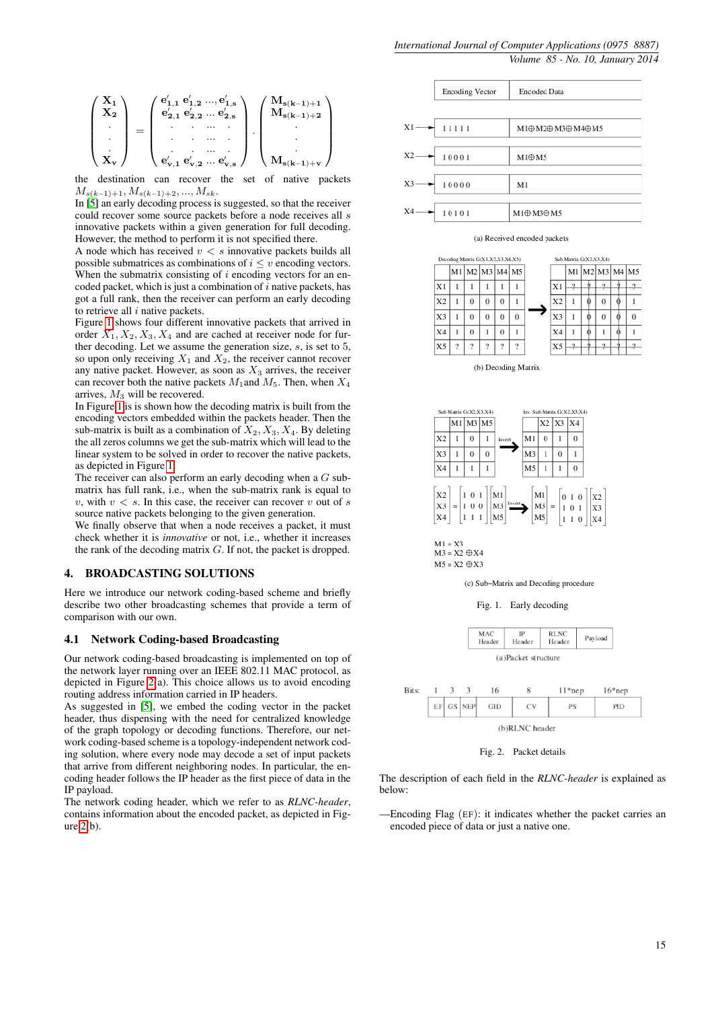X<sup>1</sup> X<sup>2</sup> . . . X<sup>v</sup> = e 0 <sup>1</sup>,<sup>1</sup> e 0 1,2 ..., e 0 1,s e 0 <sup>2</sup>,<sup>1</sup> e 0 2,2 ... e 0 2,s . . ... . . . ... . . . ... . e 0 <sup>v</sup>,<sup>1</sup> e 0 v,2 ... e 0 v,s . Ms(k−1)+<sup>1</sup> Ms(k−1)+<sup>2</sup> . . . Ms(k−1)+<sup>v</sup> 

the destination can recover the set of native packets  $M_{s(k-1)+1}, M_{s(k-1)+2}, ..., M_{sk}$ .

In [\[5\]](#page-7-15) an early decoding process is suggested, so that the receiver could recover some source packets before a node receives all s innovative packets within a given generation for full decoding. However, the method to perform it is not specified there.

A node which has received  $v < s$  innovative packets builds all possible submatrices as combinations of  $i \leq v$  encoding vectors. When the submatrix consisting of  $i$  encoding vectors for an encoded packet, which is just a combination of  $i$  native packets, has got a full rank, then the receiver can perform an early decoding to retrieve all  $i$  native packets.

Figure [1](#page-2-0) shows four different innovative packets that arrived in order  $X_1, X_2, X_3, X_4$  and are cached at receiver node for further decoding. Let we assume the generation size, s, is set to 5, so upon only receiving  $X_1$  and  $X_2$ , the receiver cannot recover any native packet. However, as soon as  $X_3$  arrives, the receiver can recover both the native packets  $M_1$  and  $M_5$ . Then, when  $X_4$ arrives,  $M_3$  will be recovered.

In Figure [1](#page-2-0) is is shown how the decoding matrix is built from the encoding vectors embedded within the packets header. Then the sub-matrix is built as a combination of  $X_2, X_3, X_4$ . By deleting the all zeros columns we get the sub-matrix which will lead to the linear system to be solved in order to recover the native packets, as depicted in Figure [1.](#page-2-0)

The receiver can also perform an early decoding when a  $G$  submatrix has full rank, i.e., when the sub-matrix rank is equal to v, with  $v < s$ . In this case, the receiver can recover v out of s source native packets belonging to the given generation.

We finally observe that when a node receives a packet, it must check whether it is *innovative* or not, i.e., whether it increases the rank of the decoding matrix  $G$ . If not, the packet is dropped.

## 4. BROADCASTING SOLUTIONS

Here we introduce our network coding-based scheme and briefly describe two other broadcasting schemes that provide a term of comparison with our own.

## 4.1 Network Coding-based Broadcasting

Our network coding-based broadcasting is implemented on top of the network layer running over an IEEE 802.11 MAC protocol, as depicted in Figure [2\(](#page-2-1)a). This choice allows us to avoid encoding routing address information carried in IP headers.

As suggested in [\[5\]](#page-7-15), we embed the coding vector in the packet header, thus dispensing with the need for centralized knowledge of the graph topology or decoding functions. Therefore, our network coding-based scheme is a topology-independent network coding solution, where every node may decode a set of input packets that arrive from different neighboring nodes. In particular, the encoding header follows the IP header as the first piece of data in the IP payload.

The network coding header, which we refer to as *RLNC-header*, contains information about the encoded packet, as depicted in Figure [2\(](#page-2-1)b).



#### (a) Received encoded packets





 $M1 = X3$ <br> $M3 = X2 \oplus X4$  $\mathrm{M5} = \mathrm{X2} \oplus \mathrm{X3}$ 

(c) Sub-Matrix and Decoding procedure

<span id="page-2-0"></span>Fig. 1. Early decoding



<span id="page-2-1"></span>(b)RLNC header

Fig. 2. Packet details

The description of each field in the *RLNC-header* is explained as below:

—Encoding Flag (EF): it indicates whether the packet carries an encoded piece of data or just a native one.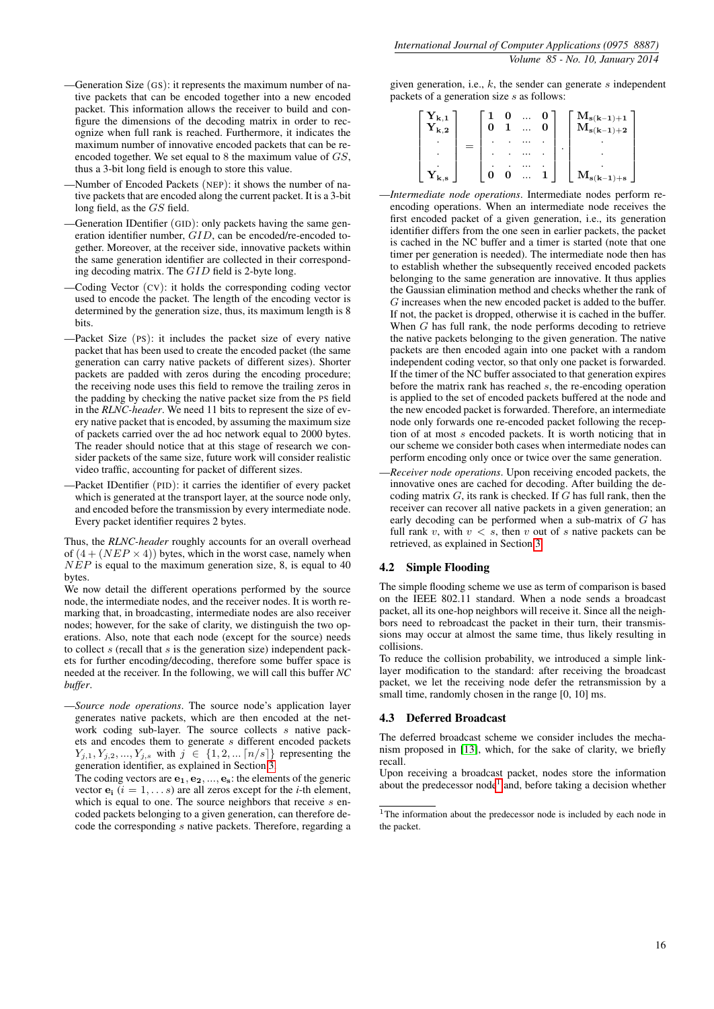- —Generation Size (GS): it represents the maximum number of native packets that can be encoded together into a new encoded packet. This information allows the receiver to build and configure the dimensions of the decoding matrix in order to recognize when full rank is reached. Furthermore, it indicates the maximum number of innovative encoded packets that can be reencoded together. We set equal to 8 the maximum value of GS, thus a 3-bit long field is enough to store this value.
- —Number of Encoded Packets (NEP): it shows the number of native packets that are encoded along the current packet. It is a 3-bit long field, as the GS field.
- —Generation IDentifier (GID): only packets having the same generation identifier number, GID, can be encoded/re-encoded together. Moreover, at the receiver side, innovative packets within the same generation identifier are collected in their corresponding decoding matrix. The GID field is 2-byte long.
- —Coding Vector (CV): it holds the corresponding coding vector used to encode the packet. The length of the encoding vector is determined by the generation size, thus, its maximum length is 8 bits.
- —Packet Size (PS): it includes the packet size of every native packet that has been used to create the encoded packet (the same generation can carry native packets of different sizes). Shorter packets are padded with zeros during the encoding procedure; the receiving node uses this field to remove the trailing zeros in the padding by checking the native packet size from the PS field in the *RLNC-header*. We need 11 bits to represent the size of every native packet that is encoded, by assuming the maximum size of packets carried over the ad hoc network equal to 2000 bytes. The reader should notice that at this stage of research we consider packets of the same size, future work will consider realistic video traffic, accounting for packet of different sizes.
- —Packet IDentifier (PID): it carries the identifier of every packet which is generated at the transport layer, at the source node only, and encoded before the transmission by every intermediate node. Every packet identifier requires 2 bytes.

Thus, the *RLNC-header* roughly accounts for an overall overhead of  $(4 + (NEP \times 4))$  bytes, which in the worst case, namely when  $NEP$  is equal to the maximum generation size, 8, is equal to 40 bytes.

We now detail the different operations performed by the source node, the intermediate nodes, and the receiver nodes. It is worth remarking that, in broadcasting, intermediate nodes are also receiver nodes; however, for the sake of clarity, we distinguish the two operations. Also, note that each node (except for the source) needs to collect  $s$  (recall that  $s$  is the generation size) independent packets for further encoding/decoding, therefore some buffer space is needed at the receiver. In the following, we will call this buffer *NC buffer*.

—*Source node operations*. The source node's application layer generates native packets, which are then encoded at the network coding sub-layer. The source collects s native packets and encodes them to generate s different encoded packets  $Y_{j,1}, Y_{j,2}, ..., Y_{j,s}$  with  $j \in \{1, 2, ... [n/s]\}$  representing the generation identifier, as explained in Section [3.](#page-1-0)

The coding vectors are  $e_1, e_2, ..., e_s$ : the elements of the generic vector  $e_i$  ( $i = 1, \ldots s$ ) are all zeros except for the *i*-th element, which is equal to one. The source neighbors that receive  $s$  encoded packets belonging to a given generation, can therefore decode the corresponding s native packets. Therefore, regarding a given generation, i.e.,  $k$ , the sender can generate s independent packets of a generation size  $s$  as follows:

| $\mathbf{r}_{k,1}$<br>$\mathbf{Y}_{\mathbf{k},\mathbf{2}}$ | ÷ |  |  |  | . $\mathbf{M}_{\mathbf{s}(\mathbf{k-1})+\mathbf{1}}$<br>$(k-1)+2$<br>$\sqrt{L_S}$ |
|------------------------------------------------------------|---|--|--|--|-----------------------------------------------------------------------------------|
|                                                            |   |  |  |  |                                                                                   |
|                                                            |   |  |  |  |                                                                                   |
|                                                            |   |  |  |  |                                                                                   |
|                                                            |   |  |  |  | $s(k-1)+s$                                                                        |

- —*Intermediate node operations*. Intermediate nodes perform reencoding operations. When an intermediate node receives the first encoded packet of a given generation, i.e., its generation identifier differs from the one seen in earlier packets, the packet is cached in the NC buffer and a timer is started (note that one timer per generation is needed). The intermediate node then has to establish whether the subsequently received encoded packets belonging to the same generation are innovative. It thus applies the Gaussian elimination method and checks whether the rank of G increases when the new encoded packet is added to the buffer. If not, the packet is dropped, otherwise it is cached in the buffer. When G has full rank, the node performs decoding to retrieve the native packets belonging to the given generation. The native packets are then encoded again into one packet with a random independent coding vector, so that only one packet is forwarded. If the timer of the NC buffer associated to that generation expires before the matrix rank has reached s, the re-encoding operation is applied to the set of encoded packets buffered at the node and the new encoded packet is forwarded. Therefore, an intermediate node only forwards one re-encoded packet following the reception of at most s encoded packets. It is worth noticing that in our scheme we consider both cases when intermediate nodes can perform encoding only once or twice over the same generation.
- —*Receiver node operations*. Upon receiving encoded packets, the innovative ones are cached for decoding. After building the decoding matrix  $G$ , its rank is checked. If  $G$  has full rank, then the receiver can recover all native packets in a given generation; an early decoding can be performed when a sub-matrix of  $G$  has full rank v, with  $v < s$ , then v out of s native packets can be retrieved, as explained in Section [3.](#page-1-0)

## 4.2 Simple Flooding

The simple flooding scheme we use as term of comparison is based on the IEEE 802.11 standard. When a node sends a broadcast packet, all its one-hop neighbors will receive it. Since all the neighbors need to rebroadcast the packet in their turn, their transmissions may occur at almost the same time, thus likely resulting in collisions.

To reduce the collision probability, we introduced a simple linklayer modification to the standard: after receiving the broadcast packet, we let the receiving node defer the retransmission by a small time, randomly chosen in the range  $[0, 10]$  ms.

## 4.3 Deferred Broadcast

The deferred broadcast scheme we consider includes the mechanism proposed in [\[13\]](#page-7-14), which, for the sake of clarity, we briefly recall.

Upon receiving a broadcast packet, nodes store the information about the predecessor node<sup>[1](#page-3-0)</sup> and, before taking a decision whether

<span id="page-3-0"></span><sup>&</sup>lt;sup>1</sup>The information about the predecessor node is included by each node in the packet.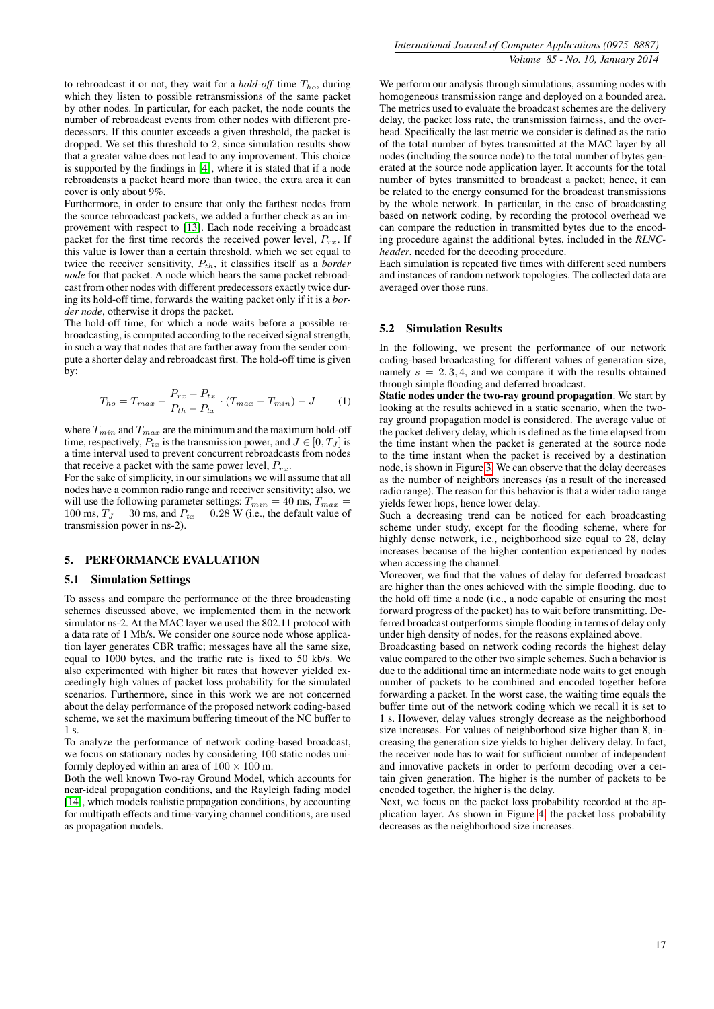to rebroadcast it or not, they wait for a *hold-off* time  $T_{ho}$ , during which they listen to possible retransmissions of the same packet by other nodes. In particular, for each packet, the node counts the number of rebroadcast events from other nodes with different predecessors. If this counter exceeds a given threshold, the packet is dropped. We set this threshold to 2, since simulation results show that a greater value does not lead to any improvement. This choice is supported by the findings in [\[4\]](#page-7-0), where it is stated that if a node rebroadcasts a packet heard more than twice, the extra area it can cover is only about 9%.

Furthermore, in order to ensure that only the farthest nodes from the source rebroadcast packets, we added a further check as an improvement with respect to [\[13\]](#page-7-14). Each node receiving a broadcast packet for the first time records the received power level,  $P_{rx}$ . If this value is lower than a certain threshold, which we set equal to twice the receiver sensitivity,  $P_{th}$ , it classifies itself as a *border node* for that packet. A node which hears the same packet rebroadcast from other nodes with different predecessors exactly twice during its hold-off time, forwards the waiting packet only if it is a *border node*, otherwise it drops the packet.

The hold-off time, for which a node waits before a possible rebroadcasting, is computed according to the received signal strength, in such a way that nodes that are farther away from the sender compute a shorter delay and rebroadcast first. The hold-off time is given by:

$$
T_{ho} = T_{max} - \frac{P_{rx} - P_{tx}}{P_{th} - P_{tx}} \cdot (T_{max} - T_{min}) - J \tag{1}
$$

where  $T_{min}$  and  $T_{max}$  are the minimum and the maximum hold-off time, respectively,  $P_{tx}$  is the transmission power, and  $J \in [0, T_J]$  is a time interval used to prevent concurrent rebroadcasts from nodes that receive a packet with the same power level,  $P_{rx}$ .

For the sake of simplicity, in our simulations we will assume that all nodes have a common radio range and receiver sensitivity; also, we will use the following parameter settings:  $T_{min} = 40$  ms,  $T_{max} =$ 100 ms,  $T_J = 30$  ms, and  $P_{tx} = 0.28$  W (i.e., the default value of transmission power in ns-2).

## 5. PERFORMANCE EVALUATION

#### 5.1 Simulation Settings

To assess and compare the performance of the three broadcasting schemes discussed above, we implemented them in the network simulator ns-2. At the MAC layer we used the 802.11 protocol with a data rate of 1 Mb/s. We consider one source node whose application layer generates CBR traffic; messages have all the same size, equal to 1000 bytes, and the traffic rate is fixed to 50 kb/s. We also experimented with higher bit rates that however yielded exceedingly high values of packet loss probability for the simulated scenarios. Furthermore, since in this work we are not concerned about the delay performance of the proposed network coding-based scheme, we set the maximum buffering timeout of the NC buffer to 1 s.

To analyze the performance of network coding-based broadcast, we focus on stationary nodes by considering 100 static nodes uniformly deployed within an area of  $100 \times 100$  m.

Both the well known Two-ray Ground Model, which accounts for near-ideal propagation conditions, and the Rayleigh fading model [\[14\]](#page-7-16), which models realistic propagation conditions, by accounting for multipath effects and time-varying channel conditions, are used as propagation models.

We perform our analysis through simulations, assuming nodes with homogeneous transmission range and deployed on a bounded area. The metrics used to evaluate the broadcast schemes are the delivery delay, the packet loss rate, the transmission fairness, and the overhead. Specifically the last metric we consider is defined as the ratio of the total number of bytes transmitted at the MAC layer by all nodes (including the source node) to the total number of bytes generated at the source node application layer. It accounts for the total number of bytes transmitted to broadcast a packet; hence, it can be related to the energy consumed for the broadcast transmissions by the whole network. In particular, in the case of broadcasting based on network coding, by recording the protocol overhead we can compare the reduction in transmitted bytes due to the encoding procedure against the additional bytes, included in the *RLNCheader*, needed for the decoding procedure.

Each simulation is repeated five times with different seed numbers and instances of random network topologies. The collected data are averaged over those runs.

#### 5.2 Simulation Results

In the following, we present the performance of our network coding-based broadcasting for different values of generation size, namely  $s = 2, 3, 4$ , and we compare it with the results obtained through simple flooding and deferred broadcast.

Static nodes under the two-ray ground propagation. We start by looking at the results achieved in a static scenario, when the tworay ground propagation model is considered. The average value of the packet delivery delay, which is defined as the time elapsed from the time instant when the packet is generated at the source node to the time instant when the packet is received by a destination node, is shown in Figure [3.](#page-5-0) We can observe that the delay decreases as the number of neighbors increases (as a result of the increased radio range). The reason for this behavior is that a wider radio range yields fewer hops, hence lower delay.

Such a decreasing trend can be noticed for each broadcasting scheme under study, except for the flooding scheme, where for highly dense network, i.e., neighborhood size equal to 28, delay increases because of the higher contention experienced by nodes when accessing the channel.

Moreover, we find that the values of delay for deferred broadcast are higher than the ones achieved with the simple flooding, due to the hold off time a node (i.e., a node capable of ensuring the most forward progress of the packet) has to wait before transmitting. Deferred broadcast outperforms simple flooding in terms of delay only under high density of nodes, for the reasons explained above.

Broadcasting based on network coding records the highest delay value compared to the other two simple schemes. Such a behavior is due to the additional time an intermediate node waits to get enough number of packets to be combined and encoded together before forwarding a packet. In the worst case, the waiting time equals the buffer time out of the network coding which we recall it is set to 1 s. However, delay values strongly decrease as the neighborhood size increases. For values of neighborhood size higher than 8, increasing the generation size yields to higher delivery delay. In fact, the receiver node has to wait for sufficient number of independent and innovative packets in order to perform decoding over a certain given generation. The higher is the number of packets to be encoded together, the higher is the delay.

Next, we focus on the packet loss probability recorded at the application layer. As shown in Figure [4,](#page-5-1) the packet loss probability decreases as the neighborhood size increases.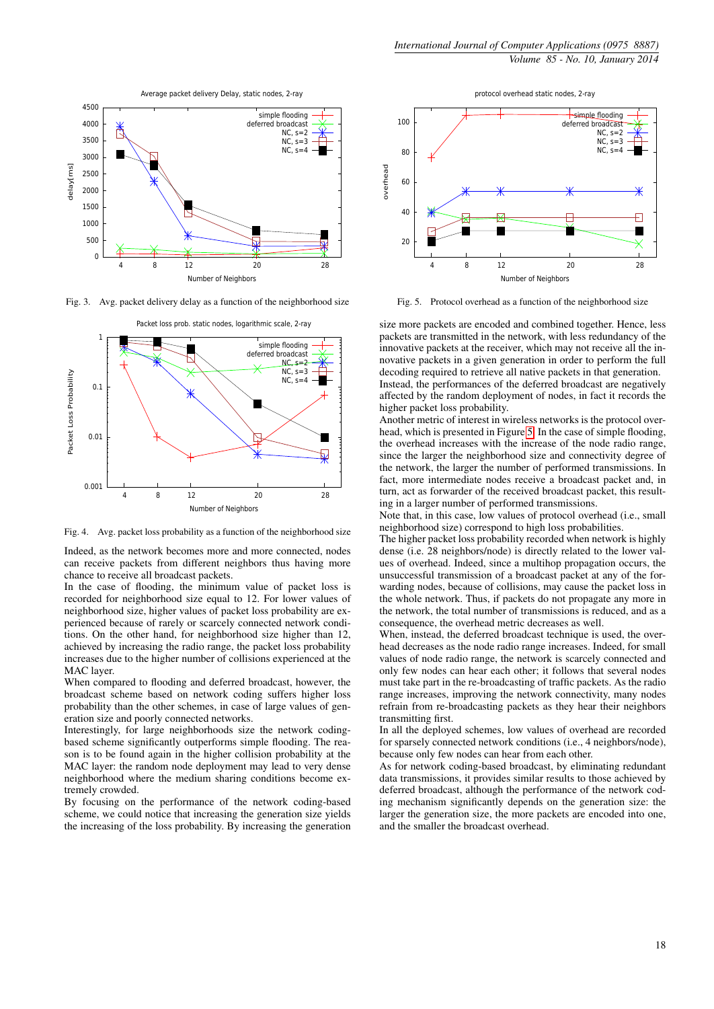

<span id="page-5-0"></span>Fig. 3. Avg. packet delivery delay as a function of the neighborhood size



<span id="page-5-1"></span>Fig. 4. Avg. packet loss probability as a function of the neighborhood size

Indeed, as the network becomes more and more connected, nodes can receive packets from different neighbors thus having more chance to receive all broadcast packets.

In the case of flooding, the minimum value of packet loss is recorded for neighborhood size equal to 12. For lower values of neighborhood size, higher values of packet loss probability are experienced because of rarely or scarcely connected network conditions. On the other hand, for neighborhood size higher than 12, achieved by increasing the radio range, the packet loss probability increases due to the higher number of collisions experienced at the MAC layer.

When compared to flooding and deferred broadcast, however, the broadcast scheme based on network coding suffers higher loss probability than the other schemes, in case of large values of generation size and poorly connected networks.

Interestingly, for large neighborhoods size the network codingbased scheme significantly outperforms simple flooding. The reason is to be found again in the higher collision probability at the MAC layer: the random node deployment may lead to very dense neighborhood where the medium sharing conditions become extremely crowded.

By focusing on the performance of the network coding-based scheme, we could notice that increasing the generation size yields the increasing of the loss probability. By increasing the generation



<span id="page-5-2"></span>Fig. 5. Protocol overhead as a function of the neighborhood size

size more packets are encoded and combined together. Hence, less packets are transmitted in the network, with less redundancy of the innovative packets at the receiver, which may not receive all the innovative packets in a given generation in order to perform the full decoding required to retrieve all native packets in that generation. Instead, the performances of the deferred broadcast are negatively affected by the random deployment of nodes, in fact it records the higher packet loss probability.

Another metric of interest in wireless networks is the protocol overhead, which is presented in Figure [5.](#page-5-2) In the case of simple flooding, the overhead increases with the increase of the node radio range, since the larger the neighborhood size and connectivity degree of the network, the larger the number of performed transmissions. In fact, more intermediate nodes receive a broadcast packet and, in turn, act as forwarder of the received broadcast packet, this resulting in a larger number of performed transmissions.

Note that, in this case, low values of protocol overhead (i.e., small neighborhood size) correspond to high loss probabilities.

The higher packet loss probability recorded when network is highly dense (i.e. 28 neighbors/node) is directly related to the lower values of overhead. Indeed, since a multihop propagation occurs, the unsuccessful transmission of a broadcast packet at any of the forwarding nodes, because of collisions, may cause the packet loss in the whole network. Thus, if packets do not propagate any more in the network, the total number of transmissions is reduced, and as a consequence, the overhead metric decreases as well.

When, instead, the deferred broadcast technique is used, the overhead decreases as the node radio range increases. Indeed, for small values of node radio range, the network is scarcely connected and only few nodes can hear each other; it follows that several nodes must take part in the re-broadcasting of traffic packets. As the radio range increases, improving the network connectivity, many nodes refrain from re-broadcasting packets as they hear their neighbors transmitting first.

In all the deployed schemes, low values of overhead are recorded for sparsely connected network conditions (i.e., 4 neighbors/node), because only few nodes can hear from each other.

As for network coding-based broadcast, by eliminating redundant data transmissions, it provides similar results to those achieved by deferred broadcast, although the performance of the network coding mechanism significantly depends on the generation size: the larger the generation size, the more packets are encoded into one, and the smaller the broadcast overhead.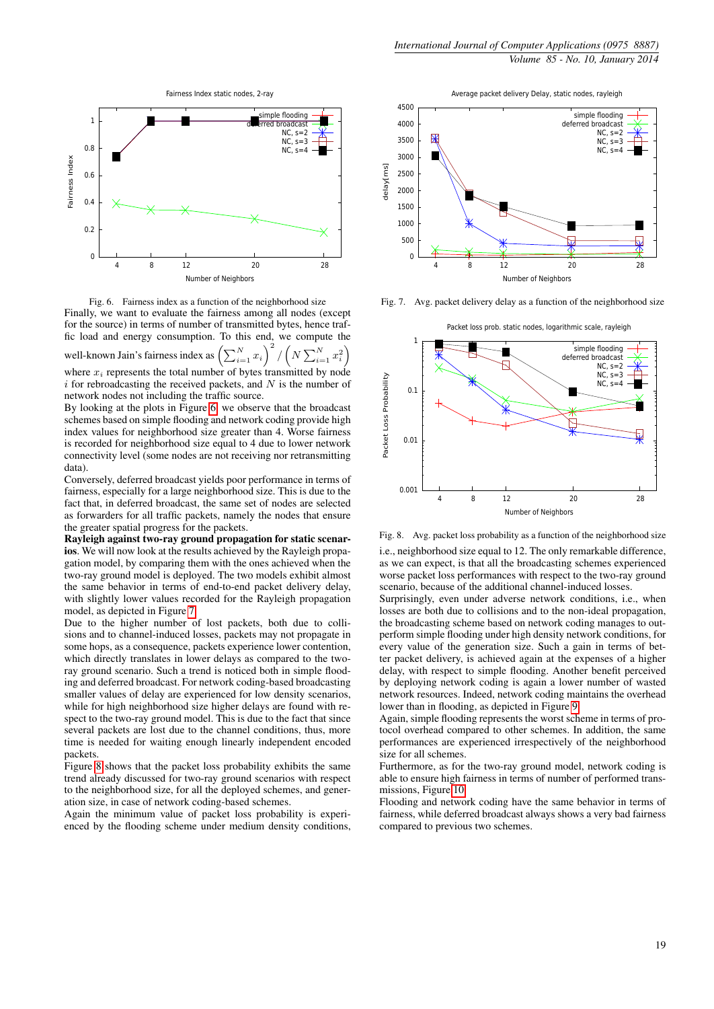

<span id="page-6-0"></span>Fig. 6. Fairness index as a function of the neighborhood size Finally, we want to evaluate the fairness among all nodes (except for the source) in terms of number of transmitted bytes, hence traffic load and energy consumption. To this end, we compute the  $\sum_{i=1}^{N} x_i\bigg)^2$  $\sqrt{ }$  $\sum_{i=1}^{N}$ 2  $\setminus$ 

well-known Jain's fairness index as  $\left(\sum_{i=1}^N N_i\right)$ / N  $\sum_{i=1}^{\infty} x_i$ i where  $x_i$  represents the total number of bytes transmitted by node  $i$  for rebroadcasting the received packets, and  $N$  is the number of network nodes not including the traffic source.

By looking at the plots in Figure [6,](#page-6-0) we observe that the broadcast schemes based on simple flooding and network coding provide high index values for neighborhood size greater than 4. Worse fairness is recorded for neighborhood size equal to 4 due to lower network connectivity level (some nodes are not receiving nor retransmitting data).

Conversely, deferred broadcast yields poor performance in terms of fairness, especially for a large neighborhood size. This is due to the fact that, in deferred broadcast, the same set of nodes are selected as forwarders for all traffic packets, namely the nodes that ensure the greater spatial progress for the packets.

Rayleigh against two-ray ground propagation for static scenarios. We will now look at the results achieved by the Rayleigh propagation model, by comparing them with the ones achieved when the two-ray ground model is deployed. The two models exhibit almost the same behavior in terms of end-to-end packet delivery delay, with slightly lower values recorded for the Rayleigh propagation model, as depicted in Figure [7.](#page-6-1)

Due to the higher number of lost packets, both due to collisions and to channel-induced losses, packets may not propagate in some hops, as a consequence, packets experience lower contention, which directly translates in lower delays as compared to the tworay ground scenario. Such a trend is noticed both in simple flooding and deferred broadcast. For network coding-based broadcasting smaller values of delay are experienced for low density scenarios, while for high neighborhood size higher delays are found with respect to the two-ray ground model. This is due to the fact that since several packets are lost due to the channel conditions, thus, more time is needed for waiting enough linearly independent encoded packets.

Figure [8](#page-6-2) shows that the packet loss probability exhibits the same trend already discussed for two-ray ground scenarios with respect to the neighborhood size, for all the deployed schemes, and generation size, in case of network coding-based schemes.

Again the minimum value of packet loss probability is experienced by the flooding scheme under medium density conditions,

Average packet delivery Delay, static nodes, rayleigh



<span id="page-6-1"></span>Fig. 7. Avg. packet delivery delay as a function of the neighborhood size



<span id="page-6-2"></span>Fig. 8. Avg. packet loss probability as a function of the neighborhood size

i.e., neighborhood size equal to 12. The only remarkable difference, as we can expect, is that all the broadcasting schemes experienced worse packet loss performances with respect to the two-ray ground scenario, because of the additional channel-induced losses.

Surprisingly, even under adverse network conditions, i.e., when losses are both due to collisions and to the non-ideal propagation, the broadcasting scheme based on network coding manages to outperform simple flooding under high density network conditions, for every value of the generation size. Such a gain in terms of better packet delivery, is achieved again at the expenses of a higher delay, with respect to simple flooding. Another benefit perceived by deploying network coding is again a lower number of wasted network resources. Indeed, network coding maintains the overhead lower than in flooding, as depicted in Figure [9.](#page-7-17)

Again, simple flooding represents the worst scheme in terms of protocol overhead compared to other schemes. In addition, the same performances are experienced irrespectively of the neighborhood size for all schemes.

Furthermore, as for the two-ray ground model, network coding is able to ensure high fairness in terms of number of performed transmissions, Figure [10.](#page-7-18)

Flooding and network coding have the same behavior in terms of fairness, while deferred broadcast always shows a very bad fairness compared to previous two schemes.